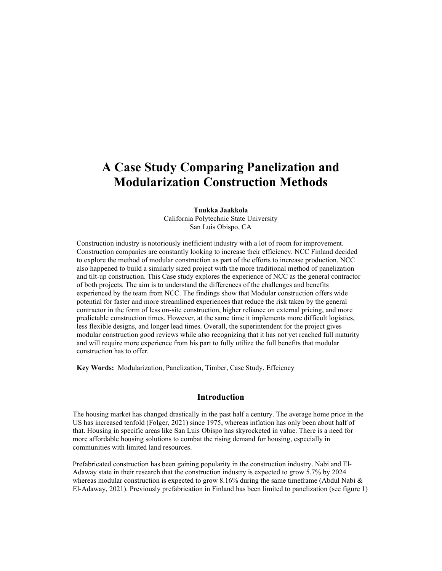# A Case Study Comparing Panelization and Modularization Construction Methods

Tuukka Jaakkola California Polytechnic State University San Luis Obispo, CA

Construction industry is notoriously inefficient industry with a lot of room for improvement. Construction companies are constantly looking to increase their efficiency. NCC Finland decided to explore the method of modular construction as part of the efforts to increase production. NCC also happened to build a similarly sized project with the more traditional method of panelization and tilt-up construction. This Case study explores the experience of NCC as the general contractor of both projects. The aim is to understand the differences of the challenges and benefits experienced by the team from NCC. The findings show that Modular construction offers wide potential for faster and more streamlined experiences that reduce the risk taken by the general contractor in the form of less on-site construction, higher reliance on external pricing, and more predictable construction times. However, at the same time it implements more difficult logistics, less flexible designs, and longer lead times. Overall, the superintendent for the project gives modular construction good reviews while also recognizing that it has not yet reached full maturity and will require more experience from his part to fully utilize the full benefits that modular construction has to offer.

Key Words: Modularization, Panelization, Timber, Case Study, Effciency

#### Introduction

The housing market has changed drastically in the past half a century. The average home price in the US has increased tenfold (Folger, 2021) since 1975, whereas inflation has only been about half of that. Housing in specific areas like San Luis Obispo has skyrocketed in value. There is a need for more affordable housing solutions to combat the rising demand for housing, especially in communities with limited land resources.

Prefabricated construction has been gaining popularity in the construction industry. Nabi and El-Adaway state in their research that the construction industry is expected to grow 5.7% by 2024 whereas modular construction is expected to grow 8.16% during the same timeframe (Abdul Nabi  $\&$ El-Adaway, 2021). Previously prefabrication in Finland has been limited to panelization (see figure 1)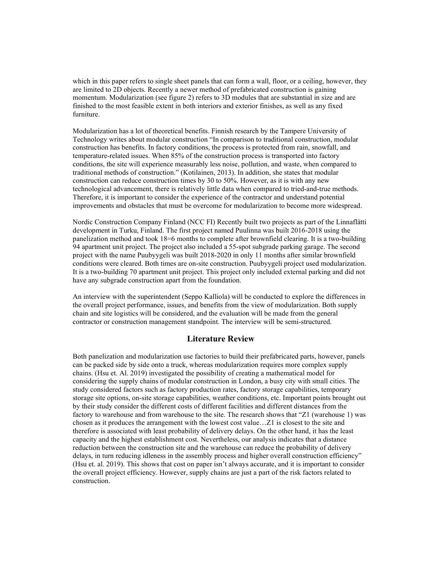which in this paper refers to single sheet panels that can form a wall, floor, or a ceiling, however, they are limited to 2D objects. Recently a newer method of prefabricated construction is gaining momentum. Modularization (see figure 2) refers to 3D modules that are substantial in size and are finished to the most feasible extent in both interiors and exterior finishes, as well as any fixed furniture.

Modularization has a lot of theoretical benefits. Finnish research by the Tampere University of Technology writes about modular construction "In comparison to traditional construction, modular construction has benefits. In factory conditions, the process is protected from rain, snowfall, and temperature-related issues. When 85% of the construction process is transported into factory conditions, the site will experience measurably less noise, pollution, and waste, when compared to traditional methods of construction." (Kotilainen, 2013). In addition, she states that modular construction can reduce construction times by 30 to 50%. However, as it is with any new technological advancement, there is relatively little data when compared to tried-and-true methods. Therefore, it is important to consider the experience of the contractor and understand potential improvements and obstacles that must be overcome for modularization to become more widespread.

Nordic Construction Company Finland (NCC FI) Recently built two projects as part of the Linnaflätti development in Turku, Finland. The first project named Puulinna was built 2016-2018 using the panelization method and took 18=6 months to complete after brownfield clearing. It is a two-building 94 apartment unit project. The project also included a 55-spot subgrade parking garage. The second project with the name Puubyygeli was built 2018-2020 in only 11 months after similar brownfield conditions were cleared. Both times are on-site construction. Puubyygeli project used modularization. It is a two-building 70 apartment unit project. This project only included external parking and did not have any subgrade construction apart from the foundation.

An interview with the superintendent (Seppo Kalliola) will be conducted to explore the differences in the overall project performance, issues, and benefits from the view of modularization. Both supply chain and site logistics will be considered, and the evaluation will be made from the general contractor or construction management standpoint. The interview will be semi-structured.

#### Literature Review

Both panelization and modularization use factories to build their prefabricated parts, however, panels can be packed side by side onto a truck, whereas modularization requires more complex supply chains. (Hsu et. Al. 2019) investigated the possibility of creating a mathematical model for considering the supply chains of modular construction in London, a busy city with small cities. The study considered factors such as factory production rates, factory storage capabilities, temporary storage site options, on-site storage capabilities, weather conditions, etc. Important points brought out by their study consider the different costs of different facilities and different distances from the factory to warehouse and from warehouse to the site. The research shows that "Z1 (warehouse 1) was chosen as it produces the arrangement with the lowest cost value…Z1 is closest to the site and therefore is associated with least probability of delivery delays. On the other hand, it has the least capacity and the highest establishment cost. Nevertheless, our analysis indicates that a distance reduction between the construction site and the warehouse can reduce the probability of delivery delays, in turn reducing idleness in the assembly process and higher overall construction efficiency" (Hsu et. al. 2019). This shows that cost on paper isn't always accurate, and it is important to consider the overall project efficiency. However, supply chains are just a part of the risk factors related to construction.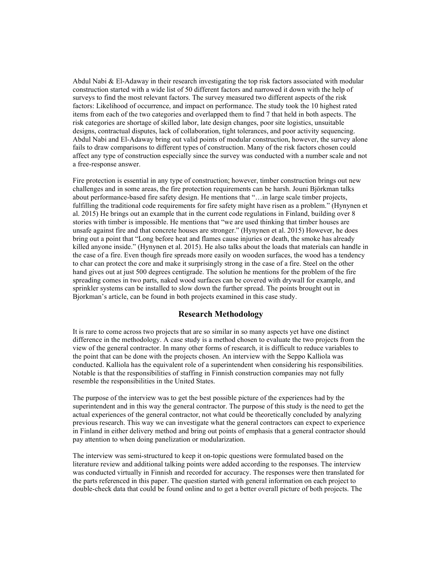Abdul Nabi & El-Adaway in their research investigating the top risk factors associated with modular construction started with a wide list of 50 different factors and narrowed it down with the help of surveys to find the most relevant factors. The survey measured two different aspects of the risk factors: Likelihood of occurrence, and impact on performance. The study took the 10 highest rated items from each of the two categories and overlapped them to find 7 that held in both aspects. The risk categories are shortage of skilled labor, late design changes, poor site logistics, unsuitable designs, contractual disputes, lack of collaboration, tight tolerances, and poor activity sequencing. Abdul Nabi and El-Adaway bring out valid points of modular construction, however, the survey alone fails to draw comparisons to different types of construction. Many of the risk factors chosen could affect any type of construction especially since the survey was conducted with a number scale and not a free-response answer.

Fire protection is essential in any type of construction; however, timber construction brings out new challenges and in some areas, the fire protection requirements can be harsh. Jouni Björkman talks about performance-based fire safety design. He mentions that "…in large scale timber projects, fulfilling the traditional code requirements for fire safety might have risen as a problem." (Hynynen et al. 2015) He brings out an example that in the current code regulations in Finland, building over 8 stories with timber is impossible. He mentions that "we are used thinking that timber houses are unsafe against fire and that concrete houses are stronger." (Hynynen et al. 2015) However, he does bring out a point that "Long before heat and flames cause injuries or death, the smoke has already killed anyone inside." (Hynynen et al. 2015). He also talks about the loads that materials can handle in the case of a fire. Even though fire spreads more easily on wooden surfaces, the wood has a tendency to char can protect the core and make it surprisingly strong in the case of a fire. Steel on the other hand gives out at just 500 degrees centigrade. The solution he mentions for the problem of the fire spreading comes in two parts, naked wood surfaces can be covered with drywall for example, and sprinkler systems can be installed to slow down the further spread. The points brought out in Bjorkman's article, can be found in both projects examined in this case study.

#### Research Methodology

It is rare to come across two projects that are so similar in so many aspects yet have one distinct difference in the methodology. A case study is a method chosen to evaluate the two projects from the view of the general contractor. In many other forms of research, it is difficult to reduce variables to the point that can be done with the projects chosen. An interview with the Seppo Kalliola was conducted. Kalliola has the equivalent role of a superintendent when considering his responsibilities. Notable is that the responsibilities of staffing in Finnish construction companies may not fully resemble the responsibilities in the United States.

The purpose of the interview was to get the best possible picture of the experiences had by the superintendent and in this way the general contractor. The purpose of this study is the need to get the actual experiences of the general contractor, not what could be theoretically concluded by analyzing previous research. This way we can investigate what the general contractors can expect to experience in Finland in either delivery method and bring out points of emphasis that a general contractor should pay attention to when doing panelization or modularization.

The interview was semi-structured to keep it on-topic questions were formulated based on the literature review and additional talking points were added according to the responses. The interview was conducted virtually in Finnish and recorded for accuracy. The responses were then translated for the parts referenced in this paper. The question started with general information on each project to double-check data that could be found online and to get a better overall picture of both projects. The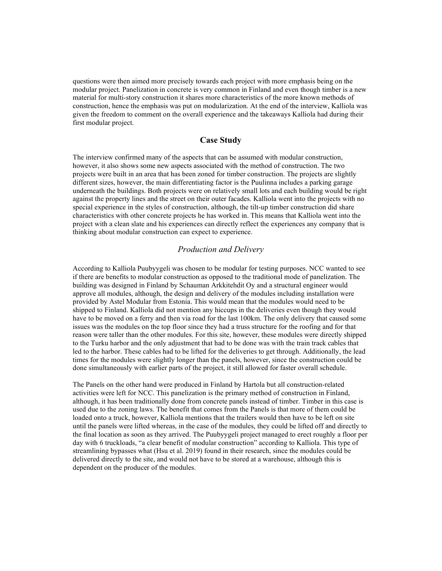questions were then aimed more precisely towards each project with more emphasis being on the modular project. Panelization in concrete is very common in Finland and even though timber is a new material for multi-story construction it shares more characteristics of the more known methods of construction, hence the emphasis was put on modularization. At the end of the interview, Kalliola was given the freedom to comment on the overall experience and the takeaways Kalliola had during their first modular project.

#### Case Study

The interview confirmed many of the aspects that can be assumed with modular construction, however, it also shows some new aspects associated with the method of construction. The two projects were built in an area that has been zoned for timber construction. The projects are slightly different sizes, however, the main differentiating factor is the Puulinna includes a parking garage underneath the buildings. Both projects were on relatively small lots and each building would be right against the property lines and the street on their outer facades. Kalliola went into the projects with no special experience in the styles of construction, although, the tilt-up timber construction did share characteristics with other concrete projects he has worked in. This means that Kalliola went into the project with a clean slate and his experiences can directly reflect the experiences any company that is thinking about modular construction can expect to experience.

# Production and Delivery

According to Kalliola Puubyygeli was chosen to be modular for testing purposes. NCC wanted to see if there are benefits to modular construction as opposed to the traditional mode of panelization. The building was designed in Finland by Schauman Arkkitehdit Oy and a structural engineer would approve all modules, although, the design and delivery of the modules including installation were provided by Astel Modular from Estonia. This would mean that the modules would need to be shipped to Finland. Kalliola did not mention any hiccups in the deliveries even though they would have to be moved on a ferry and then via road for the last 100km. The only delivery that caused some issues was the modules on the top floor since they had a truss structure for the roofing and for that reason were taller than the other modules. For this site, however, these modules were directly shipped to the Turku harbor and the only adjustment that had to be done was with the train track cables that led to the harbor. These cables had to be lifted for the deliveries to get through. Additionally, the lead times for the modules were slightly longer than the panels, however, since the construction could be done simultaneously with earlier parts of the project, it still allowed for faster overall schedule.

The Panels on the other hand were produced in Finland by Hartola but all construction-related activities were left for NCC. This panelization is the primary method of construction in Finland, although, it has been traditionally done from concrete panels instead of timber. Timber in this case is used due to the zoning laws. The benefit that comes from the Panels is that more of them could be loaded onto a truck, however, Kalliola mentions that the trailers would then have to be left on site until the panels were lifted whereas, in the case of the modules, they could be lifted off and directly to the final location as soon as they arrived. The Puubyygeli project managed to erect roughly a floor per day with 6 truckloads, "a clear benefit of modular construction" according to Kalliola. This type of streamlining bypasses what (Hsu et al. 2019) found in their research, since the modules could be delivered directly to the site, and would not have to be stored at a warehouse, although this is dependent on the producer of the modules.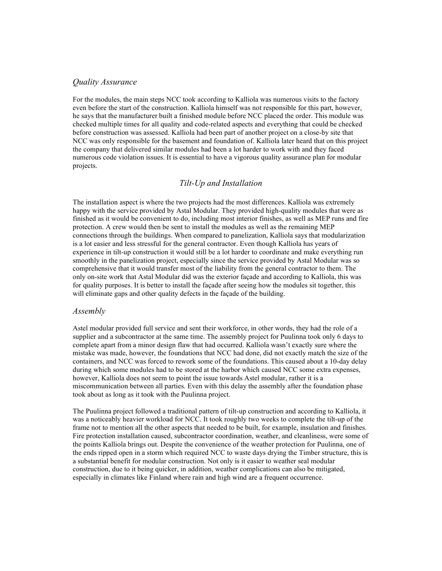#### Quality Assurance

For the modules, the main steps NCC took according to Kalliola was numerous visits to the factory even before the start of the construction. Kalliola himself was not responsible for this part, however, he says that the manufacturer built a finished module before NCC placed the order. This module was checked multiple times for all quality and code-related aspects and everything that could be checked before construction was assessed. Kalliola had been part of another project on a close-by site that NCC was only responsible for the basement and foundation of. Kalliola later heard that on this project the company that delivered similar modules had been a lot harder to work with and they faced numerous code violation issues. It is essential to have a vigorous quality assurance plan for modular projects.

# Tilt-Up and Installation

The installation aspect is where the two projects had the most differences. Kalliola was extremely happy with the service provided by Astal Modular. They provided high-quality modules that were as finished as it would be convenient to do, including most interior finishes, as well as MEP runs and fire protection. A crew would then be sent to install the modules as well as the remaining MEP connections through the buildings. When compared to panelization, Kalliola says that modularization is a lot easier and less stressful for the general contractor. Even though Kalliola has years of experience in tilt-up construction it would still be a lot harder to coordinate and make everything run smoothly in the panelization project, especially since the service provided by Astal Modular was so comprehensive that it would transfer most of the liability from the general contractor to them. The only on-site work that Astal Modular did was the exterior façade and according to Kalliola, this was for quality purposes. It is better to install the façade after seeing how the modules sit together, this will eliminate gaps and other quality defects in the façade of the building.

#### Assembly

Astel modular provided full service and sent their workforce, in other words, they had the role of a supplier and a subcontractor at the same time. The assembly project for Puulinna took only 6 days to complete apart from a minor design flaw that had occurred. Kalliola wasn't exactly sure where the mistake was made, however, the foundations that NCC had done, did not exactly match the size of the containers, and NCC was forced to rework some of the foundations. This caused about a 10-day delay during which some modules had to be stored at the harbor which caused NCC some extra expenses, however, Kalliola does not seem to point the issue towards Astel modular, rather it is a miscommunication between all parties. Even with this delay the assembly after the foundation phase took about as long as it took with the Puulinna project.

The Puulinna project followed a traditional pattern of tilt-up construction and according to Kalliola, it was a noticeably heavier workload for NCC. It took roughly two weeks to complete the tilt-up of the frame not to mention all the other aspects that needed to be built, for example, insulation and finishes. Fire protection installation caused, subcontractor coordination, weather, and cleanliness, were some of the points Kalliola brings out. Despite the convenience of the weather protection for Puulinna, one of the ends ripped open in a storm which required NCC to waste days drying the Timber structure, this is a substantial benefit for modular construction. Not only is it easier to weather seal modular construction, due to it being quicker, in addition, weather complications can also be mitigated, especially in climates like Finland where rain and high wind are a frequent occurrence.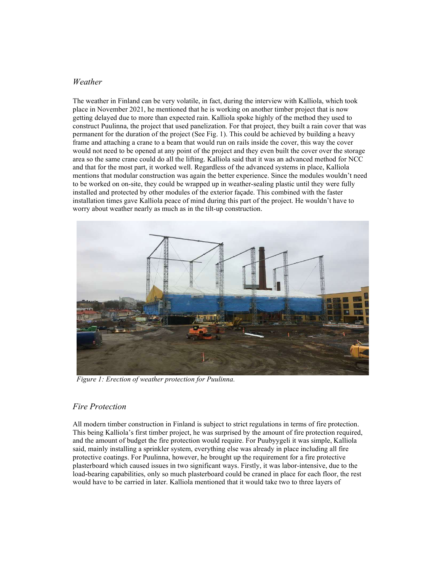#### Weather

The weather in Finland can be very volatile, in fact, during the interview with Kalliola, which took place in November 2021, he mentioned that he is working on another timber project that is now getting delayed due to more than expected rain. Kalliola spoke highly of the method they used to construct Puulinna, the project that used panelization. For that project, they built a rain cover that was permanent for the duration of the project (See Fig. 1). This could be achieved by building a heavy frame and attaching a crane to a beam that would run on rails inside the cover, this way the cover would not need to be opened at any point of the project and they even built the cover over the storage area so the same crane could do all the lifting. Kalliola said that it was an advanced method for NCC and that for the most part, it worked well. Regardless of the advanced systems in place, Kalliola mentions that modular construction was again the better experience. Since the modules wouldn't need to be worked on on-site, they could be wrapped up in weather-sealing plastic until they were fully installed and protected by other modules of the exterior façade. This combined with the faster installation times gave Kalliola peace of mind during this part of the project. He wouldn't have to worry about weather nearly as much as in the tilt-up construction.



Figure 1: Erection of weather protection for Puulinna.

# Fire Protection

All modern timber construction in Finland is subject to strict regulations in terms of fire protection. This being Kalliola's first timber project, he was surprised by the amount of fire protection required, and the amount of budget the fire protection would require. For Puubyygeli it was simple, Kalliola said, mainly installing a sprinkler system, everything else was already in place including all fire protective coatings. For Puulinna, however, he brought up the requirement for a fire protective plasterboard which caused issues in two significant ways. Firstly, it was labor-intensive, due to the load-bearing capabilities, only so much plasterboard could be craned in place for each floor, the rest would have to be carried in later. Kalliola mentioned that it would take two to three layers of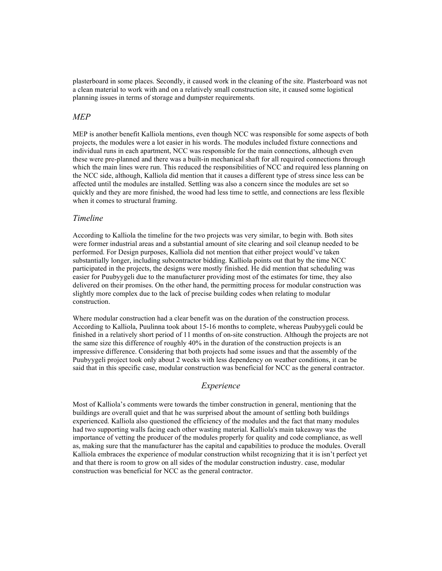plasterboard in some places. Secondly, it caused work in the cleaning of the site. Plasterboard was not a clean material to work with and on a relatively small construction site, it caused some logistical planning issues in terms of storage and dumpster requirements.

#### MEP

MEP is another benefit Kalliola mentions, even though NCC was responsible for some aspects of both projects, the modules were a lot easier in his words. The modules included fixture connections and individual runs in each apartment, NCC was responsible for the main connections, although even these were pre-planned and there was a built-in mechanical shaft for all required connections through which the main lines were run. This reduced the responsibilities of NCC and required less planning on the NCC side, although, Kalliola did mention that it causes a different type of stress since less can be affected until the modules are installed. Settling was also a concern since the modules are set so quickly and they are more finished, the wood had less time to settle, and connections are less flexible when it comes to structural framing.

#### Timeline

According to Kalliola the timeline for the two projects was very similar, to begin with. Both sites were former industrial areas and a substantial amount of site clearing and soil cleanup needed to be performed. For Design purposes, Kalliola did not mention that either project would've taken substantially longer, including subcontractor bidding. Kalliola points out that by the time NCC participated in the projects, the designs were mostly finished. He did mention that scheduling was easier for Puubyygeli due to the manufacturer providing most of the estimates for time, they also delivered on their promises. On the other hand, the permitting process for modular construction was slightly more complex due to the lack of precise building codes when relating to modular construction.

Where modular construction had a clear benefit was on the duration of the construction process. According to Kalliola, Puulinna took about 15-16 months to complete, whereas Puubyygeli could be finished in a relatively short period of 11 months of on-site construction. Although the projects are not the same size this difference of roughly 40% in the duration of the construction projects is an impressive difference. Considering that both projects had some issues and that the assembly of the Puubyygeli project took only about 2 weeks with less dependency on weather conditions, it can be said that in this specific case, modular construction was beneficial for NCC as the general contractor.

# Experience

Most of Kalliola's comments were towards the timber construction in general, mentioning that the buildings are overall quiet and that he was surprised about the amount of settling both buildings experienced. Kalliola also questioned the efficiency of the modules and the fact that many modules had two supporting walls facing each other wasting material. Kalliola's main takeaway was the importance of vetting the producer of the modules properly for quality and code compliance, as well as, making sure that the manufacturer has the capital and capabilities to produce the modules. Overall Kalliola embraces the experience of modular construction whilst recognizing that it is isn't perfect yet and that there is room to grow on all sides of the modular construction industry. case, modular construction was beneficial for NCC as the general contractor.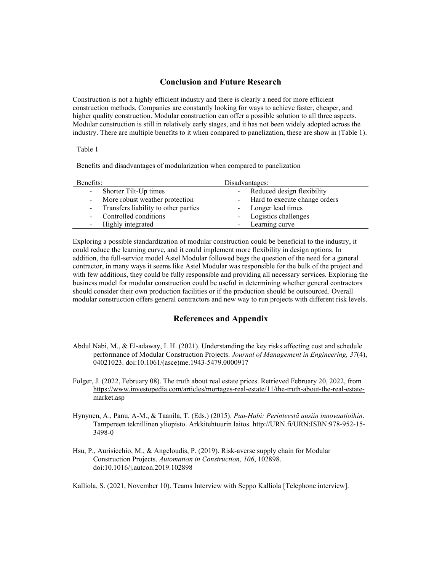#### Conclusion and Future Research

Construction is not a highly efficient industry and there is clearly a need for more efficient construction methods. Companies are constantly looking for ways to achieve faster, cheaper, and higher quality construction. Modular construction can offer a possible solution to all three aspects. Modular construction is still in relatively early stages, and it has not been widely adopted across the industry. There are multiple benefits to it when compared to panelization, these are show in (Table 1).

#### Table 1

Benefits and disadvantages of modularization when compared to panelization

| Benefits:                              | Disadvantages:                  |
|----------------------------------------|---------------------------------|
| - Shorter Tilt-Up times                | - Reduced design flexibility    |
| - More robust weather protection       | - Hard to execute change orders |
| - Transfers liability to other parties | - Longer lead times             |
| - Controlled conditions                | - Logistics challenges          |
| - Highly integrated                    | Learning curve                  |

Exploring a possible standardization of modular construction could be beneficial to the industry, it could reduce the learning curve, and it could implement more flexibility in design options. In addition, the full-service model Astel Modular followed begs the question of the need for a general contractor, in many ways it seems like Astel Modular was responsible for the bulk of the project and with few additions, they could be fully responsible and providing all necessary services. Exploring the business model for modular construction could be useful in determining whether general contractors should consider their own production facilities or if the production should be outsourced. Overall modular construction offers general contractors and new way to run projects with different risk levels.

# References and Appendix

- Abdul Nabi, M., & El-adaway, I. H. (2021). Understanding the key risks affecting cost and schedule performance of Modular Construction Projects. Journal of Management in Engineering, 37(4), 04021023. doi:10.1061/(asce)me.1943-5479.0000917
- Folger, J. (2022, February 08). The truth about real estate prices. Retrieved February 20, 2022, from https://www.investopedia.com/articles/mortages-real-estate/11/the-truth-about-the-real-estatemarket.asp
- Hynynen, A., Panu, A-M., & Taanila, T. (Eds.) (2015). Puu-Hubi: Perinteestä uusiin innovaatioihin. Tampereen teknillinen yliopisto. Arkkitehtuurin laitos. http://URN.fi/URN:ISBN:978-952-15- 3498-0
- Hsu, P., Aurisicchio, M., & Angeloudis, P. (2019). Risk-averse supply chain for Modular Construction Projects. Automation in Construction, 106, 102898. doi:10.1016/j.autcon.2019.102898

Kalliola, S. (2021, November 10). Teams Interview with Seppo Kalliola [Telephone interview].